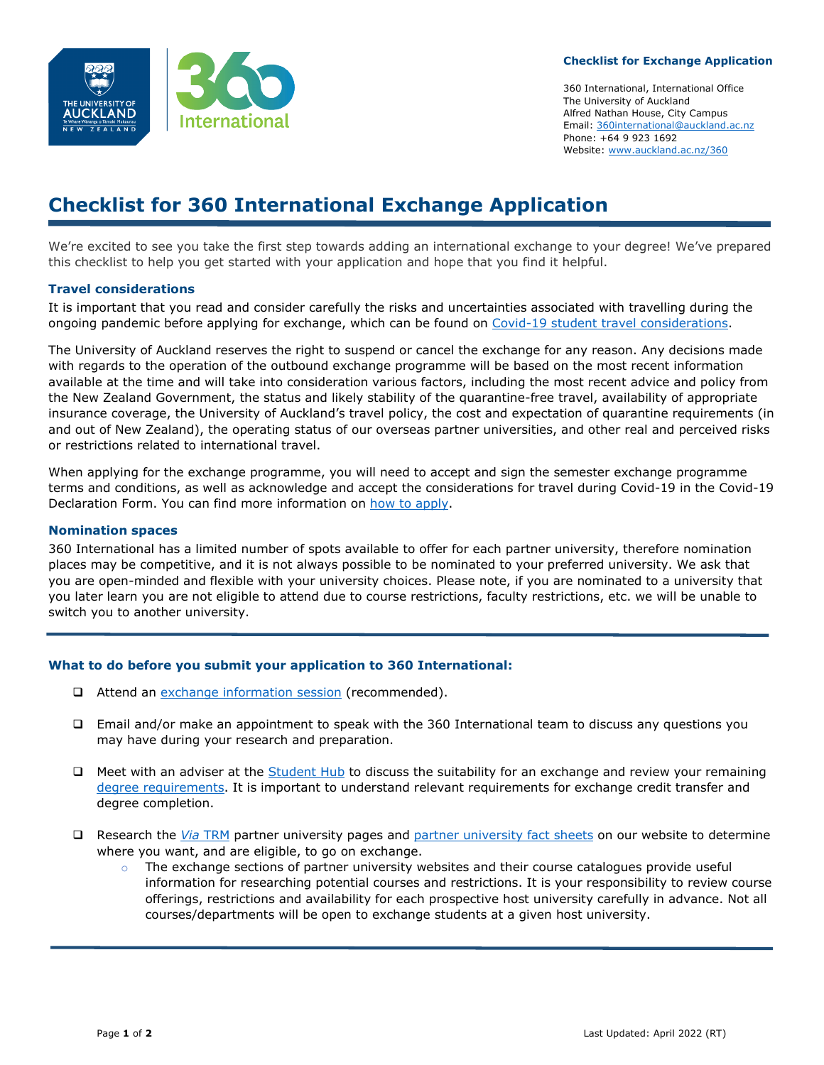

#### **Checklist for Exchange Application**

360 International, International Office The University of Auckland Alfred Nathan House, City Campus Email: [360international@auckland.ac.nz](mailto:360international@auckland.ac.nz) Phone: +64 9 923 1692 Website: [www.auckland.ac.nz/360](http://www.auckland.ac.nz/360)

# **Checklist for 360 International Exchange Application**

We're excited to see you take the first step towards adding an international exchange to your degree! We've prepared this checklist to help you get started with your application and hope that you find it helpful.

## **Travel considerations**

It is important that you read and consider carefully the risks and uncertainties associated with travelling during the ongoing pandemic before applying for exchange, which can be found on [Covid-19 student travel considerations.](https://www.auckland.ac.nz/en/study/study-options/360-international/semester-exchange/covid-19-travel-considerations.html)

The University of Auckland reserves the right to suspend or cancel the exchange for any reason. Any decisions made with regards to the operation of the outbound exchange programme will be based on the most recent information available at the time and will take into consideration various factors, including the most recent advice and policy from the New Zealand Government, the status and likely stability of the quarantine-free travel, availability of appropriate insurance coverage, the University of Auckland's travel policy, the cost and expectation of quarantine requirements (in and out of New Zealand), the operating status of our overseas partner universities, and other real and perceived risks or restrictions related to international travel.

When applying for the exchange programme, you will need to accept and sign the semester exchange programme terms and conditions, as well as acknowledge and accept the considerations for travel during Covid-19 in the Covid-19 Declaration Form. You can find more information on [how to apply.](https://www.auckland.ac.nz/en/study/study-options/360-international/semester-exchange/apply.html)

#### **Nomination spaces**

360 International has a limited number of spots available to offer for each partner university, therefore nomination places may be competitive, and it is not always possible to be nominated to your preferred university. We ask that you are open-minded and flexible with your university choices. Please note, if you are nominated to a university that you later learn you are not eligible to attend due to course restrictions, faculty restrictions, etc. we will be unable to switch you to another university.

## **What to do before you submit your application to 360 International:**

- □ Attend an [exchange information session](https://www.auckland.ac.nz/en/study/study-options/360-international/360-international-events.html) (recommended).
- Email and/or make an appointment to speak with the 360 International team to discuss any questions you may have during your research and preparation.
- $\Box$  Meet with an adviser at the [Student Hub](https://www.auckland.ac.nz/en/students/student-hubs.html) to discuss the suitability for an exchange and review your remaining [degree requirements.](https://www.auckland.ac.nz/en/students/my-tools/sso/course-advice-and-information/programme-requirements.html) It is important to understand relevant requirements for exchange credit transfer and degree completion.
- Research the *Via* [TRM](https://www.auckland.ac.nz/en/study/study-options/360-international/via-trm.html) partner university pages and [partner university fact sheets](https://www.auckland.ac.nz/en/study/study-options/360-international/semester-exchange/exchange-partners2.html) on our website to determine where you want, and are eligible, to go on exchange.
	- $\circ$  The exchange sections of partner university websites and their course catalogues provide useful information for researching potential courses and restrictions. It is your responsibility to review course offerings, restrictions and availability for each prospective host university carefully in advance. Not all courses/departments will be open to exchange students at a given host university.